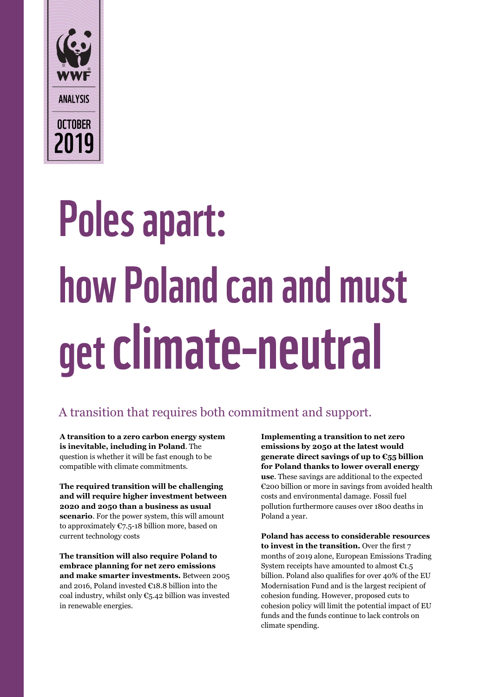

# Poles apart: how Poland can and must get climate-neutral

### A transition that requires both commitment and support.

**A transition to a zero carbon energy system is inevitable, including in Poland**. The question is whether it will be fast enough to be compatible with climate commitments.

**The required transition will be challenging and will require higher investment between 2020 and 2050 than a business as usual scenario**. For the power system, this will amount to approximately €7.5-18 billion more, based on current technology costs

**The transition will also require Poland to embrace planning for net zero emissions and make smarter investments.** Between 2005 and 2016, Poland invested €18.8 billion into the coal industry, whilst only  $\mathfrak{C}_5.42$  billion was invested in renewable energies.

**Implementing a transition to net zero emissions by 2050 at the latest would generate direct savings of up to €55 billion for Poland thanks to lower overall energy use**. These savings are additional to the expected €200 billion or more in savings from avoided health costs and environmental damage. Fossil fuel pollution furthermore causes over 1800 deaths in Poland a year.

**Poland has access to considerable resources to invest in the transition.** Over the first 7 months of 2019 alone, European Emissions Trading System receipts have amounted to almost  $C_{1.5}$ billion. Poland also qualifies for over 40% of the EU Modernisation Fund and is the largest recipient of cohesion funding. However, proposed cuts to cohesion policy will limit the potential impact of EU funds and the funds continue to lack controls on climate spending.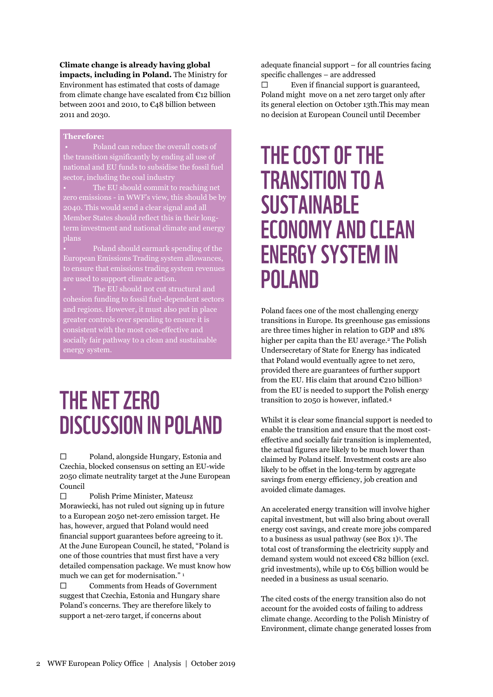**Climate change is already having global impacts, including in Poland.** The Ministry for Environment has estimated that costs of damage from climate change have escalated from €12 billion between 2001 and 2010, to €48 billion between 2011 and 2030.

#### **Therefore:**

• Poland can reduce the overall costs of the transition significantly by ending all use of national and EU funds to subsidise the fossil fuel sector, including the coal industry

• The EU should commit to reaching net zero emissions - in WWF's view, this should be by 2040. This would send a clear signal and all Member States should reflect this in their longterm investment and national climate and energy plans

• Poland should earmark spending of the European Emissions Trading system allowances, to ensure that emissions trading system revenues are used to support climate action.

cohesion funding to fossil fuel-dependent sectors and regions. However, it must also put in place greater controls over spending to ensure it is consistent with the most cost-effective and socially fair pathway to a clean and sustainable energy system.

### THE NET ZERO **DISCUSSION IN POLAND**

 $\Box$ Poland, alongside Hungary, Estonia and Czechia, blocked consensus on setting an EU-wide 2050 climate neutrality target at the June European Council

 $\Box$ Polish Prime Minister, Mateusz Morawiecki, has not ruled out signing up in future to a European 2050 net-zero emission target. He has, however, argued that Poland would need financial support guarantees before agreeing to it. At the June European Council, he stated, "Poland is one of those countries that must first have a very detailed compensation package. We must know how much we can get for modernisation." <sup>1</sup>

Comments from Heads of Government  $\Box$ suggest that Czechia, Estonia and Hungary share Poland's concerns. They are therefore likely to support a net-zero target, if concerns about

adequate financial support – for all countries facing specific challenges – are addressed

 $\Box$ Even if financial support is guaranteed, Poland might move on a net zero target only after its general election on October 13th.This may mean no decision at European Council until December

### THE COST OF THE **TRANSITION TO A SUSTAINABLE ECONOMY AND CLEAN ENERGY SYSTEM IN POLAND**

Poland faces one of the most challenging energy transitions in Europe. Its greenhouse gas emissions are three times higher in relation to GDP and 18% higher per capita than the EU average. <sup>2</sup> The Polish Undersecretary of State for Energy has indicated that Poland would eventually agree to net zero, provided there are guarantees of further support from the EU. His claim that around  $\epsilon$ 210 billion<sup>3</sup> from the EU is needed to support the Polish energy transition to 2050 is however, inflated. 4

Whilst it is clear some financial support is needed to enable the transition and ensure that the most costeffective and socially fair transition is implemented, the actual figures are likely to be much lower than claimed by Poland itself. Investment costs are also likely to be offset in the long-term by aggregate savings from energy efficiency, job creation and avoided climate damages.

An accelerated energy transition will involve higher capital investment, but will also bring about overall energy cost savings, and create more jobs compared to a business as usual pathway (see Box 1)<sup>5</sup> . The total cost of transforming the electricity supply and demand system would not exceed €82 billion (excl. grid investments), while up to  $\mathfrak{C}65$  billion would be needed in a business as usual scenario.

The cited costs of the energy transition also do not account for the avoided costs of failing to address climate change. According to the Polish Ministry of Environment, climate change generated losses from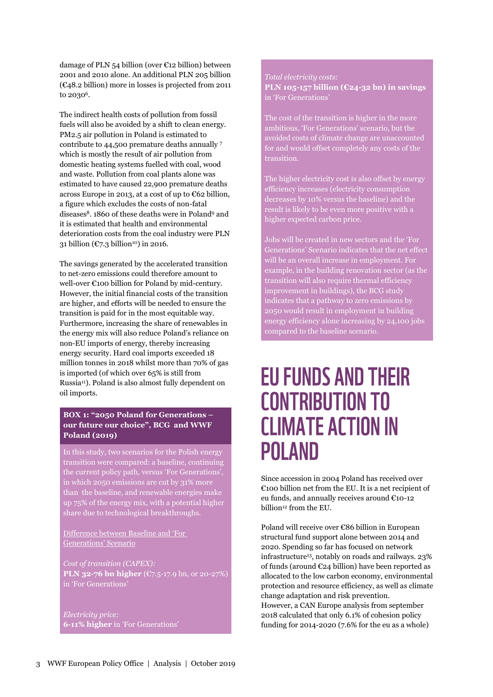damage of PLN 54 billion (over  $\epsilon$ 12 billion) between 2001 and 2010 alone. An additional PLN 205 billion (€48.2 billion) more in losses is projected from 2011 to 2030<sup>6</sup>.

The indirect health costs of pollution from fossil fuels will also be avoided by a shift to clean energy. PM2.5 air pollution in Poland is estimated to contribute to 44,500 premature deaths annually <sup>7</sup> which is mostly the result of air pollution from domestic heating systems fuelled with coal, wood and waste. Pollution from coal plants alone was estimated to have caused 22,900 premature deaths across Europe in 2013, at a cost of up to €62 billion, a figure which excludes the costs of non-fatal diseases<sup>8</sup>. 1860 of these deaths were in Poland<sup>9</sup> and it is estimated that health and environmental deterioration costs from the coal industry were PLN 31 billion ( $\mathfrak{C}$ 7.3 billion<sup>10</sup>) in 2016.

The savings generated by the accelerated transition to net-zero emissions could therefore amount to well-over €100 billion for Poland by mid-century. However, the initial financial costs of the transition are higher, and efforts will be needed to ensure the transition is paid for in the most equitable way. Furthermore, increasing the share of renewables in the energy mix will also reduce Poland's reliance on non-EU imports of energy, thereby increasing energy security. Hard coal imports exceeded 18 million tonnes in 2018 whilst more than 70% of gas is imported (of which over 65% is still from Russia<sup>11</sup>). Poland is also almost fully dependent on oil imports.

#### **BOX 1: "2050 Poland for Generations – our future our choice", BCG and WWF Poland (2019)**

In this study, two scenarios for the Polish energy transition were compared: a baseline, continuing the current policy path, versus 'For Generations', in which 2050 emissions are cut by 31% more than the baseline, and renewable energies make up 75% of the energy mix, with a potential higher share due to technological breakthroughs.

Difference between Baseline and 'For Generations' Scenario

*Cost of transition (CAPEX):* **PLN 32-76 bn higher** (€7.5-17.9 bn, or 20-27%) in 'For Generations'

*Electricity price:* **6-11% higher** in 'For Generations'

### *Total electricity costs:*

**PLN 105-157 billion (€24-32 bn) in savings** in 'For Generations'

The cost of the transition is higher in the more ambitious, 'For Generations' scenario, but the avoided costs of climate change are unaccounted for and would offset completely any costs of the

The higher electricity cost is also offset by energy efficiency increases (electricity consumption decreases by 10% versus the baseline) and the result is likely to be even more positive with a higher expected carbon price.

Jobs will be created in new sectors and the 'For Generations' Scenario indicates that the net effect will be an overall increase in employment. For example, in the building renovation sector (as the transition will also require thermal efficiency improvement in buildings), the BCG study indicates that a pathway to zero emissions by 2050 would result in employment in building energy efficiency alone increasing by 24,100 jobs compared to the baseline scenario.

### **EU FUNDS AND THEIR CONTRIBUTION TO CLIMATE ACTION IN POLAND**

Since accession in 2004 Poland has received over €100 billion net from the EU. It is a net recipient of eu funds, and annually receives around €10-12 billion<sup>12</sup> from the EU.

Poland will receive over €86 billion in European structural fund support alone between 2014 and 2020. Spending so far has focused on network infrastructure<sup>13</sup>, notably on roads and railways. 23% of funds (around  $\epsilon$ 24 billion) have been reported as allocated to the low carbon economy, environmental protection and resource efficiency, as well as climate change adaptation and risk prevention. However, a CAN Europe analysis from september 2018 calculated that only 6.1% of cohesion policy funding for 2014-2020 (7.6% for the eu as a whole)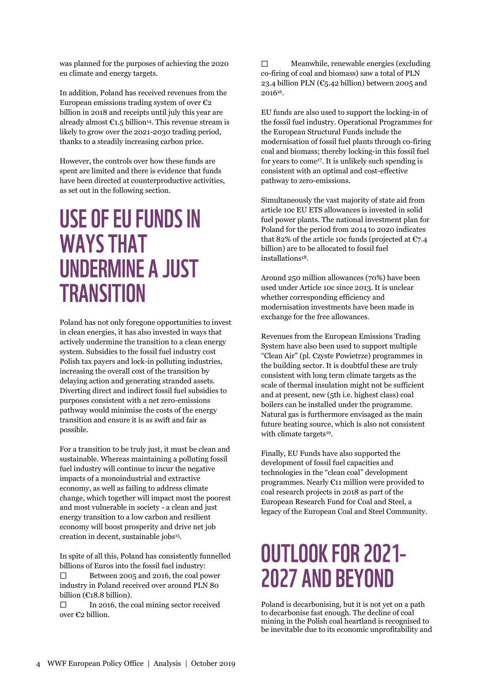was planned for the purposes of achieving the 2020 eu climate and energy targets.

In addition, Poland has received revenues from the European emissions trading system of over  $\epsilon_2$ billion in 2018 and receipts until july this year are already almost  $\epsilon$ 1.5 billion<sup>14</sup>. This revenue stream is likely to grow over the 2021-2030 trading period, thanks to a steadily increasing carbon price.

However, the controls over how these funds are spent are limited and there is evidence that funds have been directed at counterproductive activities, as set out in the following section.

### **USE OF EU FUNDS IN WAYS THAT UNDERMINE A JUST TRANSITION**

Poland has not only foregone opportunities to invest in clean energies, it has also invested in ways that actively undermine the transition to a clean energy system. Subsidies to the fossil fuel industry cost Polish tax payers and lock-in polluting industries, increasing the overall cost of the transition by delaying action and generating stranded assets. Diverting direct and indirect fossil fuel subsidies to purposes consistent with a net zero-emissions pathway would minimise the costs of the energy transition and ensure it is as swift and fair as possible.

For a transition to be truly just, it must be clean and sustainable. Whereas maintaining a polluting fossil fuel industry will continue to incur the negative impacts of a monoindustrial and extractive economy, as well as failing to address climate change, which together will impact most the poorest and most vulnerable in society - a clean and just energy transition to a low carbon and resilient economy will boost prosperity and drive net job creation in decent, sustainable jobs<sup>15</sup>.

In spite of all this, Poland has consistently funnelled billions of Euros into the fossil fuel industry:  $\Box$ Between 2005 and 2016, the coal power industry in Poland received over around PLN 80

billion (€18.8 billion). In 2016, the coal mining sector received  $\Box$ over €2 billion.

 $\Box$ Meanwhile, renewable energies (excluding co-firing of coal and biomass) saw a total of PLN 23.4 billion PLN ( $\mathfrak{C}_{5.42}$  billion) between 2005 and 2016<sup>16</sup>.

EU funds are also used to support the locking-in of the fossil fuel industry. Operational Programmes for the European Structural Funds include the modernisation of fossil fuel plants through co-firing coal and biomass; thereby locking-in this fossil fuel for years to come<sup>17</sup>. It is unlikely such spending is consistent with an optimal and cost-effective pathway to zero-emissions.

Simultaneously the vast majority of state aid from article 10c EU ETS allowances is invested in solid fuel power plants. The national investment plan for Poland for the period from 2014 to 2020 indicates that 82% of the article 10c funds (projected at  $C$ 7.4 billion) are to be allocated to fossil fuel installations<sup>18</sup>.

Around 250 million allowances (70%) have been used under Article 10c since 2013. It is unclear whether corresponding efficiency and modernisation investments have been made in exchange for the free allowances.

Revenues from the European Emissions Trading System have also been used to support multiple "Clean Air" (pl. Czyste Powietrze) programmes in the building sector. It is doubtful these are truly consistent with long term climate targets as the scale of thermal insulation might not be sufficient and at present, new (5th i.e. highest class) coal boilers can be installed under the programme. Natural gas is furthermore envisaged as the main future heating source, which is also not consistent with climate targets<sup>19</sup>.

Finally, EU Funds have also supported the development of fossil fuel capacities and technologies in the "clean coal" development programmes. Nearly €11 million were provided to coal research projects in 2018 as part of the European Research Fund for Coal and Steel, a legacy of the European Coal and Steel Community.

## OUTLOOK FOR 2021-**2027 AND BEYOND**

Poland is decarbonising, but it is not yet on a path to decarbonise fast enough. The decline of coal mining in the Polish coal heartland is recognised to be inevitable due to its economic unprofitability and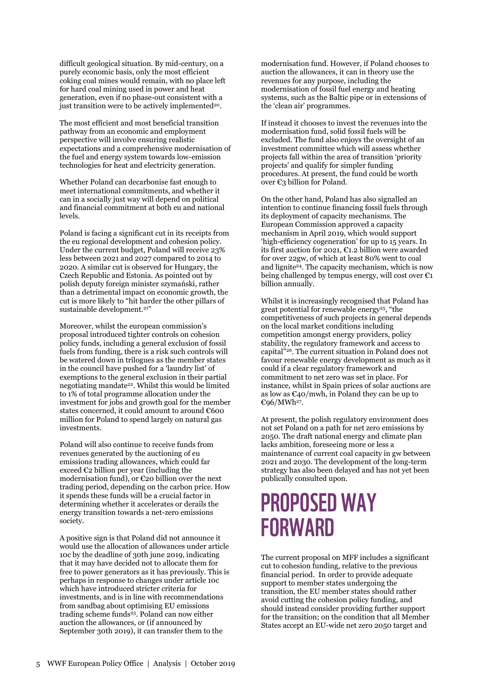difficult geological situation. By mid-century, on a purely economic basis, only the most efficient coking coal mines would remain, with no place left for hard coal mining used in power and heat generation, even if no phase-out consistent with a just transition were to be actively implemented<sup>20</sup>.

The most efficient and most beneficial transition pathway from an economic and employment perspective will involve ensuring realistic expectations and a comprehensive modernisation of the fuel and energy system towards low-emission technologies for heat and electricity generation.

Whether Poland can decarbonise fast enough to meet international commitments, and whether it can in a socially just way will depend on political and financial commitment at both eu and national levels.

Poland is facing a significant cut in its receipts from the eu regional development and cohesion policy. Under the current budget, Poland will receive 23% less between 2021 and 2027 compared to 2014 to 2020. A similar cut is observed for Hungary, the Czech Republic and Estonia. As pointed out by polish deputy foreign minister szymański, rather than a detrimental impact on economic growth, the cut is more likely to "hit harder the other pillars of sustainable development.<sup>21"</sup>

Moreover, whilst the european commission's proposal introduced tighter controls on cohesion policy funds, including a general exclusion of fossil fuels from funding, there is a risk such controls will be watered down in trilogues as the member states in the council have pushed for a 'laundry list' of exemptions to the general exclusion in their partial negotiating mandate<sup>22</sup>. Whilst this would be limited to 1% of total programme allocation under the investment for jobs and growth goal for the member states concerned, it could amount to around €600 million for Poland to spend largely on natural gas investments.

Poland will also continue to receive funds from revenues generated by the auctioning of eu emissions trading allowances, which could far exceed  $\epsilon_2$  billion per year (including the modernisation fund), or €20 billion over the next trading period, depending on the carbon price. How it spends these funds will be a crucial factor in determining whether it accelerates or derails the energy transition towards a net-zero emissions society.

A positive sign is that Poland did not announce it would use the allocation of allowances under article 10c by the deadline of 30th june 2019, indicating that it may have decided not to allocate them for free to power generators as it has previously. This is perhaps in response to changes under article 10c which have introduced stricter criteria for investments, and is in line with recommendations from sandbag about optimising EU emissions trading scheme funds<sup>23</sup>. Poland can now either auction the allowances, or (if announced by September 30th 2019), it can transfer them to the

modernisation fund. However, if Poland chooses to auction the allowances, it can in theory use the revenues for any purpose, including the modernisation of fossil fuel energy and heating systems, such as the Baltic pipe or in extensions of the 'clean air' programmes.

If instead it chooses to invest the revenues into the modernisation fund, solid fossil fuels will be excluded. The fund also enjoys the oversight of an investment committee which will assess whether projects fall within the area of transition 'priority projects' and qualify for simpler funding procedures. At present, the fund could be worth over €3 billion for Poland.

On the other hand, Poland has also signalled an intention to continue financing fossil fuels through its deployment of capacity mechanisms. The European Commission approved a capacity mechanism in April 2019, which would support 'high-efficiency cogeneration' for up to 15 years. In its first auction for 2021, €1.2 billion were awarded for over 22gw, of which at least 80% went to coal and lignite<sup>24</sup>. The capacity mechanism, which is now being challenged by tempus energy, will cost over  $\epsilon_1$ billion annually.

Whilst it is increasingly recognised that Poland has great potential for renewable energy<sup>25</sup>, "the competitiveness of such projects in general depends on the local market conditions including competition amongst energy providers, policy stability, the regulatory framework and access to capital"<sup>26</sup>. The current situation in Poland does not favour renewable energy development as much as it could if a clear regulatory framework and commitment to net zero was set in place. For instance, whilst in Spain prices of solar auctions are as low as  $\mathfrak{C}$ 40/mwh, in Poland they can be up to €96/MWh<sup>27</sup> .

At present, the polish regulatory environment does not set Poland on a path for net zero emissions by 2050. The draft national energy and climate plan lacks ambition, foreseeing more or less a maintenance of current coal capacity in gw between 2021 and 2030. The development of the long-term strategy has also been delayed and has not yet been publically consulted upon.

### **PROPOSED WAY FORWARD**

The current proposal on MFF includes a significant cut to cohesion funding, relative to the previous financial period. In order to provide adequate support to member states undergoing the transition, the EU member states should rather avoid cutting the cohesion policy funding, and should instead consider providing further support for the transition; on the condition that all Member States accept an EU-wide net zero 2050 target and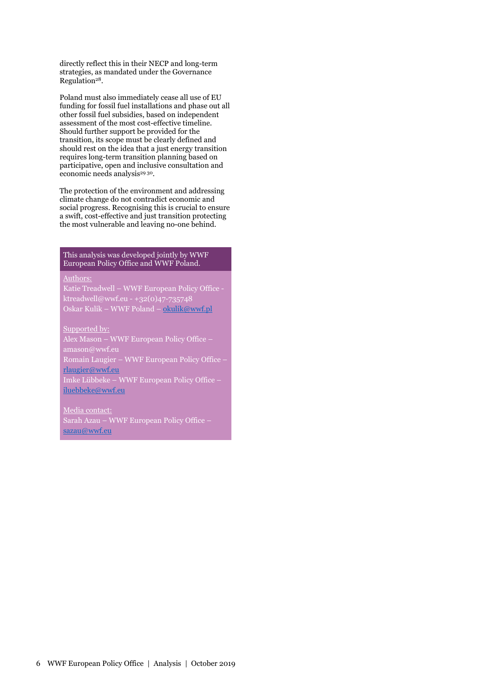directly reflect this in their NECP and long-term strategies, as mandated under the Governance Regulation<sup>28</sup>.

Poland must also immediately cease all use of EU funding for fossil fuel installations and phase out all other fossil fuel subsidies, based on independent assessment of the most cost-effective timeline. Should further support be provided for the transition, its scope must be clearly defined and should rest on the idea that a just energy transition requires long-term transition planning based on participative, open and inclusive consultation and economic needs analysis<sup>29 30</sup>.

The protection of the environment and addressing climate change do not contradict economic and social progress. Recognising this is crucial to ensure a swift, cost-effective and just transition protecting the most vulnerable and leaving no-one behind.

#### This analysis was developed jointly by WWF European Policy Office and WWF Poland.

#### Authors:

Katie Treadwell – WWF European Policy Office ktreadwell@wwf.eu - +32(0)47-735748 Oskar Kulik – WWF Poland – [okulik@wwf.pl](mailto:okulik@wwf.pl)

Supported by:

Alex Mason – WWF European Policy Office – amason@wwf.eu Romain Laugier – WWF European Policy Office – [rlaugier@wwf.eu](mailto:rlaugier@wwf.eu) Imke Lübbeke – WWF European Policy Office – [iluebbeke@wwf.eu](mailto:iluebbeke@wwf.eu)

Media contact: Sarah Azau – WWF European Policy Office – [sazau@wwf.eu](mailto:sazau@wwf.eu)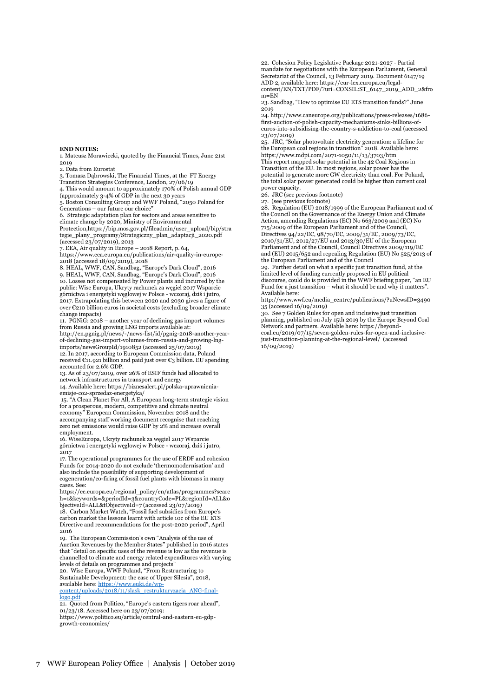#### **END NOTES:**

1. Mateusz Morawiecki, quoted by the Financial Times, June 21st 2019

2. Data from Eurostat

3. Tomasz Dąbrowski, The Financial Times, at the FT Energy

Transition Strategies Conference, London, 27/06/19 4. This would amount to approximately 170% of Polish annual GDP (approximately 3-4% of GDP in the next 30 years

5. Boston Consulting Group and WWF Poland, "2050 Poland for Generations – our future our choice"

6. Strategic adaptation plan for sectors and areas sensitive to

climate change by 2020, Ministry of Environmental Protection,https://bip.mos.gov.pl/fileadmin/user\_upload/bip/stra tegie\_plany\_programy/Strategiczny\_plan\_adaptacji\_2020.pdf  $(\text{accessed } 23/\text{O7}/2019)$ , 2013

7. EEA, Air quality in Europe – 2018 Report, p. 64,

https://www.eea.europa.eu/publications/air-quality-in-europe-2018 (accessed 18/09/2019), 2018

8. HEAL, WWF, CAN, Sandbag, "Europe's Dark Cloud", 2016 9. HEAL, WWF, CAN, Sandbag, "Europe's Dark Cloud", 2016 10. Losses not compensated by Power plants and incurred by the public: Wise Europa, Ukryty rachunek za węgiel 2017 Wsparcie górnictwa i energetyki węglowej w Polsce - wczoraj, dziś i jutro, 2017. Extrapolating this between 2020 and 2030 gives a figure of over €210 billion euros in societal costs (excluding broader climate change impacts)

11. PGNiG: 2018 – another year of declining gas import volumes from Russia and growing LNG imports available at: http://en.pgnig.pl/news/-/news-list/id/pgnig-2018-another-yearof-declining-gas-import-volumes-from-russia-and-growing-lngimports/newsGroupId/1910852 (accessed 25/07/2019) 12. In 2017, according to European Commission data, Poland received  $E_1$ 1.921 billion and paid just over  $E_3$  billion. EU spending

accounted for 2.6% GDP. 13. As of 23/07/2019, over 26% of ESIF funds had allocated to

network infrastructures in transport and energy 14. Available here: https://biznesalert.pl/polska-uprawnienia-

emisje-co2-sprzedaz-energetyka/ 15. "A Clean Planet For All, A European long-term strategic vision for a prosperous, modern, competitive and climate neutral

economy" European Commission, November 2018 and the accompanying staff working document recognise that reaching zero net emissions would raise GDP by 2% and increase overall employment.

16. WiseEuropa, Ukryty rachunek za węgiel 2017 Wsparcie górnictwa i energetyki węglowej w Polsce - wczoraj, dziś i jutro, 2017

17. The operational programmes for the use of ERDF and cohesion Funds for 2014-2020 do not exclude 'thermomodernisation' and also include the possibility of supporting development of cogeneration/co-firing of fossil fuel plants with biomass in many cases. See:

https://ec.europa.eu/regional\_policy/en/atlas/programmes?searc h=1&keywords=&periodId=3&countryCode=PL&regionId=ALL&o bjectiveId=ALL&tObjectiveId=7 (accessed 23/07/2019)

18. Carbon Market Watch, "Fossil fuel subsidies from Europe's carbon market the lessons learnt with article 10c of the EU ETS Directive and recommendations for the post-2020 period", April 2016

19. The European Commission's own "Analysis of the use of Auction Revenues by the Member States" published in 2016 states that "detail on specific uses of the revenue is low as the revenue is channelled to climate and energy related expenditures with varying levels of details on programmes and projects

20. Wise Europa, WWF Poland, "From Restructuring to Sustainable Development: the case of Upper Silesia", 2018, available here[: https://www.euki.de/wp](https://www.euki.de/wp-content/uploads/2018/11/slask_restrukturyzacja_ANG-final-logo.pdf)[content/uploads/2018/11/slask\\_restrukturyzacja\\_ANG-final-](https://www.euki.de/wp-content/uploads/2018/11/slask_restrukturyzacja_ANG-final-logo.pdf)

[logo.pdf](https://www.euki.de/wp-content/uploads/2018/11/slask_restrukturyzacja_ANG-final-logo.pdf)

21. Quoted from Politico, "Europe's eastern tigers roar ahead", 01/23/18. Accessed here on 23/07/2019: https://www.politico.eu/article/central-and-eastern-eu-gdpgrowth-economies/

22. Cohesion Policy Legislative Package 2021-2027 - Partial mandate for negotiations with the European Parliament, General Secretariat of the Council, 13 February 2019. Document 6147/19 ADD 2, available here: https://eur-lex.europa.eu/legalcontent/EN/TXT/PDF/?uri=CONSIL:ST\_6147\_2019\_ADD\_2&fro m=EN

23. Sandbag, "How to optimise EU ETS transition funds?" June 2019

24. http://www.caneurope.org/publications/press-releases/1686 first-auction-of-polish-capacity-mechanisms-sinks-billions-ofeuros-into-subsidising-the-country-s-addiction-to-coal (accessed 23/07/2019)

25. JRC, "Solar photovoltaic electricity generation: a lifeline for the European coal regions in transition" 2018. Available here: https://www.mdpi.com/2071-1050/11/13/3703/htm

This report mapped solar potential in the 42 Coal Regions in Transition of the EU. In most regions, solar power has the potential to generate more GW electricity than coal. For Poland, the total solar power generated could be higher than current coal power capacity.

26. JRC (see previous footnote)

27. (see previous footnote)

27. (See previous recurses)<br>28. Regulation (EU) 2018/1999 of the European Parliament and of the Council on the Governance of the Energy Union and Climate Action, amending Regulations (EC) No 663/2009 and (EC) No 715/2009 of the European Parliament and of the Council, Directives 94/22/EC, 98/70/EC, 2009/31/EC, 2009/73/EC, 2010/31/EU, 2012/27/EU and 2013/30/EU of the European Parliament and of the Council, Council Directives 2009/119/EC and (EU) 2015/652 and repealing Regulation (EU) No 525/2013 of the European Parliament and of the Council

29. Further detail on what a specific just transition fund, at the limited level of funding currently proposed in EU political discourse, could do is provided in the WWF briefing paper, "an EU Fund for a just transition – what it should be and why it matters". Available here:

http://www.wwf.eu/media\_centre/publications/?uNewsID=3490 35 (accessed 16/09/2019)

30. See 7 Golden Rules for open and inclusive just transition planning, published on July 15th 2019 by the Europe Beyond Coal Network and partners. Available here: https://beyond-coal.eu/2019/07/15/seven-golden-rules-for-open-and-inclusivejust-transition-planning-at-the-regional-level/ (accessed 16/09/2019)